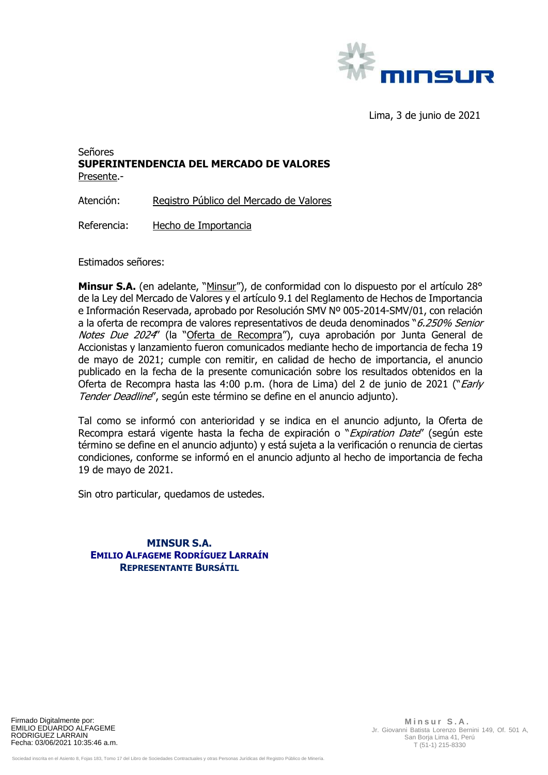

Lima, 3 de junio de 2021

## Señores **SUPERINTENDENCIA DEL MERCADO DE VALORES**  Presente.-

Atención: Registro Público del Mercado de Valores

Referencia: Hecho de Importancia

Estimados señores:

**Minsur S.A.** (en adelante, "Minsur"), de conformidad con lo dispuesto por el artículo 28° de la Ley del Mercado de Valores y el artículo 9.1 del Reglamento de Hechos de Importancia e Información Reservada, aprobado por Resolución SMV Nº 005-2014-SMV/01, con relación a la oferta de recompra de valores representativos de deuda denominados "6.250% Senior Notes Due 2024" (la "Oferta de Recompra"), cuya aprobación por Junta General de Accionistas y lanzamiento fueron comunicados mediante hecho de importancia de fecha 19 de mayo de 2021; cumple con remitir, en calidad de hecho de importancia, el anuncio publicado en la fecha de la presente comunicación sobre los resultados obtenidos en la Oferta de Recompra hasta las 4:00 p.m. (hora de Lima) del 2 de junio de 2021 ("Early Tender Deadline", según este término se define en el anuncio adjunto).

Tal como se informó con anterioridad y se indica en el anuncio adjunto, la Oferta de Recompra estará vigente hasta la fecha de expiración o "Expiration Date" (según este término se define en el anuncio adjunto) y está sujeta a la verificación o renuncia de ciertas condiciones, conforme se informó en el anuncio adjunto al hecho de importancia de fecha 19 de mayo de 2021.

Sin otro particular, quedamos de ustedes.

**MINSUR S.A. EMILIO ALFAGEME RODRÍGUEZ LARRAÍN REPRESENTANTE BURSÁTIL**

Firmado Digitalmente por: EMILIO EDUARDO ALFAGEME RODRIGUEZ LARRAIN Fecha: 03/06/2021 10:35:46 a.m.

 **M i n s u r S . A .** Jr. Giovanni Batista Lorenzo Bernini 149, Of. 501 A, San Borja Lima 41, Perú T (51-1) 215-8330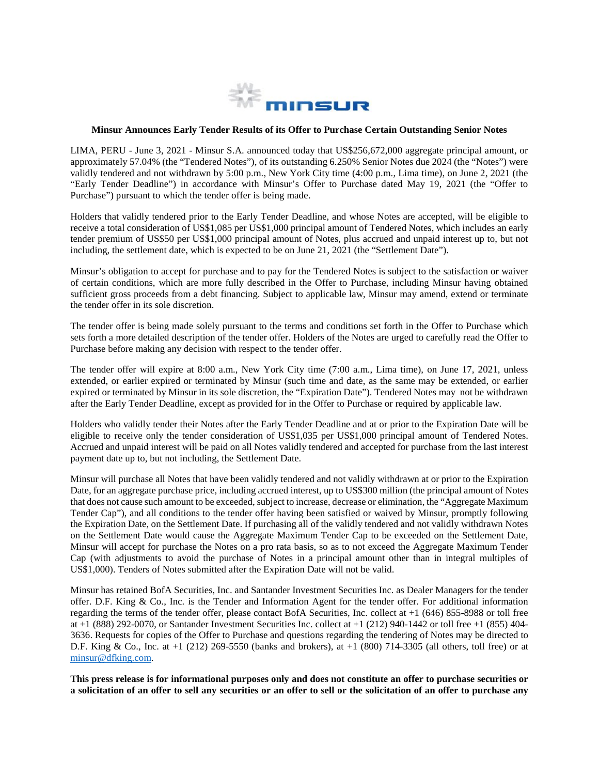

## **Minsur Announces Early Tender Results of its Offer to Purchase Certain Outstanding Senior Notes**

LIMA, PERU - June 3, 2021 - Minsur S.A. announced today that US\$256,672,000 aggregate principal amount, or approximately 57.04% (the "Tendered Notes"), of its outstanding 6.250% Senior Notes due 2024 (the "Notes") were validly tendered and not withdrawn by 5:00 p.m., New York City time (4:00 p.m., Lima time), on June 2, 2021 (the "Early Tender Deadline") in accordance with Minsur's Offer to Purchase dated May 19, 2021 (the "Offer to Purchase") pursuant to which the tender offer is being made.

Holders that validly tendered prior to the Early Tender Deadline, and whose Notes are accepted, will be eligible to receive a total consideration of US\$1,085 per US\$1,000 principal amount of Tendered Notes, which includes an early tender premium of US\$50 per US\$1,000 principal amount of Notes, plus accrued and unpaid interest up to, but not including, the settlement date, which is expected to be on June 21, 2021 (the "Settlement Date").

Minsur's obligation to accept for purchase and to pay for the Tendered Notes is subject to the satisfaction or waiver of certain conditions, which are more fully described in the Offer to Purchase, including Minsur having obtained sufficient gross proceeds from a debt financing. Subject to applicable law, Minsur may amend, extend or terminate the tender offer in its sole discretion.

The tender offer is being made solely pursuant to the terms and conditions set forth in the Offer to Purchase which sets forth a more detailed description of the tender offer. Holders of the Notes are urged to carefully read the Offer to Purchase before making any decision with respect to the tender offer.

The tender offer will expire at 8:00 a.m., New York City time (7:00 a.m., Lima time), on June 17, 2021, unless extended, or earlier expired or terminated by Minsur (such time and date, as the same may be extended, or earlier expired or terminated by Minsur in its sole discretion, the "Expiration Date"). Tendered Notes may not be withdrawn after the Early Tender Deadline, except as provided for in the Offer to Purchase or required by applicable law.

Holders who validly tender their Notes after the Early Tender Deadline and at or prior to the Expiration Date will be eligible to receive only the tender consideration of US\$1,035 per US\$1,000 principal amount of Tendered Notes. Accrued and unpaid interest will be paid on all Notes validly tendered and accepted for purchase from the last interest payment date up to, but not including, the Settlement Date.

Minsur will purchase all Notes that have been validly tendered and not validly withdrawn at or prior to the Expiration Date, for an aggregate purchase price, including accrued interest, up to US\$300 million (the principal amount of Notes that does not cause such amount to be exceeded, subject to increase, decrease or elimination, the "Aggregate Maximum Tender Cap"), and all conditions to the tender offer having been satisfied or waived by Minsur, promptly following the Expiration Date, on the Settlement Date. If purchasing all of the validly tendered and not validly withdrawn Notes on the Settlement Date would cause the Aggregate Maximum Tender Cap to be exceeded on the Settlement Date, Minsur will accept for purchase the Notes on a pro rata basis, so as to not exceed the Aggregate Maximum Tender Cap (with adjustments to avoid the purchase of Notes in a principal amount other than in integral multiples of US\$1,000). Tenders of Notes submitted after the Expiration Date will not be valid.

Minsur has retained BofA Securities, Inc. and Santander Investment Securities Inc. as Dealer Managers for the tender offer. D.F. King & Co., Inc. is the Tender and Information Agent for the tender offer. For additional information regarding the terms of the tender offer, please contact BofA Securities, Inc. collect at +1 (646) 855-8988 or toll free at +1 (888) 292-0070, or Santander Investment Securities Inc. collect at +1 (212) 940-1442 or toll free +1 (855) 404- 3636. Requests for copies of the Offer to Purchase and questions regarding the tendering of Notes may be directed to D.F. King & Co., Inc. at +1 (212) 269-5550 (banks and brokers), at +1 (800) 714-3305 (all others, toll free) or at [minsur@dfking.com.](mailto:minsur@dfking.com)

**This press release is for informational purposes only and does not constitute an offer to purchase securities or a solicitation of an offer to sell any securities or an offer to sell or the solicitation of an offer to purchase any**